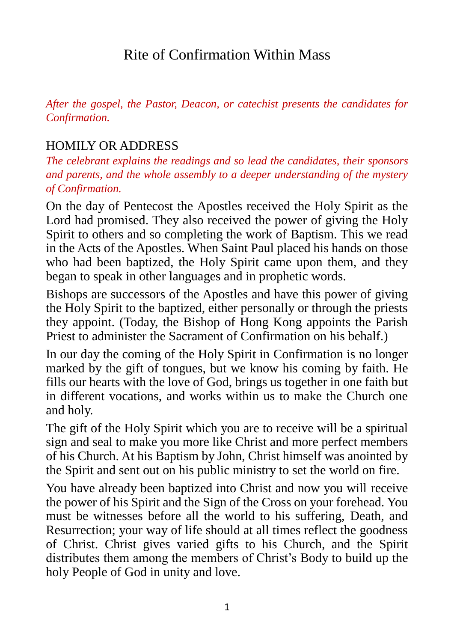# Rite of Confirmation Within Mass

*After the gospel, the Pastor, Deacon, or catechist presents the candidates for Confirmation.*

#### HOMILY OR ADDRESS

*The celebrant explains the readings and so lead the candidates, their sponsors and parents, and the whole assembly to a deeper understanding of the mystery of Confirmation.* 

On the day of Pentecost the Apostles received the Holy Spirit as the Lord had promised. They also received the power of giving the Holy Spirit to others and so completing the work of Baptism. This we read in the Acts of the Apostles. When Saint Paul placed his hands on those who had been baptized, the Holy Spirit came upon them, and they began to speak in other languages and in prophetic words.

Bishops are successors of the Apostles and have this power of giving the Holy Spirit to the baptized, either personally or through the priests they appoint. (Today, the Bishop of Hong Kong appoints the Parish Priest to administer the Sacrament of Confirmation on his behalf.)

In our day the coming of the Holy Spirit in Confirmation is no longer marked by the gift of tongues, but we know his coming by faith. He fills our hearts with the love of God, brings us together in one faith but in different vocations, and works within us to make the Church one and holy.

The gift of the Holy Spirit which you are to receive will be a spiritual sign and seal to make you more like Christ and more perfect members of his Church. At his Baptism by John, Christ himself was anointed by the Spirit and sent out on his public ministry to set the world on fire.

You have already been baptized into Christ and now you will receive the power of his Spirit and the Sign of the Cross on your forehead. You must be witnesses before all the world to his suffering, Death, and Resurrection; your way of life should at all times reflect the goodness of Christ. Christ gives varied gifts to his Church, and the Spirit distributes them among the members of Christ's Body to build up the holy People of God in unity and love.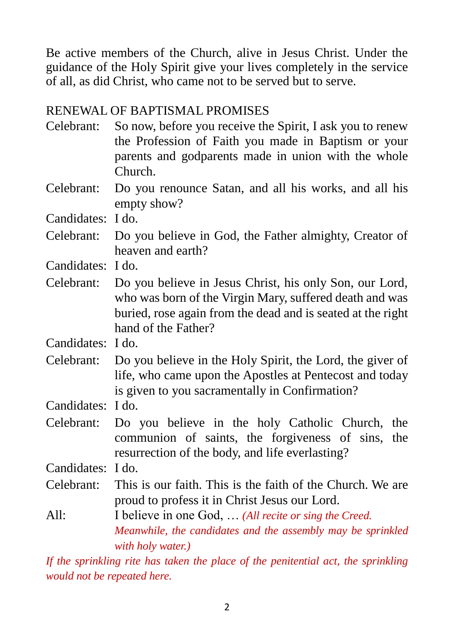Be active members of the Church, alive in Jesus Christ. Under the guidance of the Holy Spirit give your lives completely in the service of all, as did Christ, who came not to be served but to serve.

#### RENEWAL OF BAPTISMAL PROMISES

- Celebrant: So now, before you receive the Spirit, I ask you to renew the Profession of Faith you made in Baptism or your parents and godparents made in union with the whole Church.
- Celebrant: Do you renounce Satan, and all his works, and all his empty show?

Candidates: I do.

Celebrant: Do you believe in God, the Father almighty, Creator of heaven and earth?

Candidates: I do.

Celebrant: Do you believe in Jesus Christ, his only Son, our Lord, who was born of the Virgin Mary, suffered death and was buried, rose again from the dead and is seated at the right hand of the Father?

Candidates: I do.

Celebrant: Do you believe in the Holy Spirit, the Lord, the giver of life, who came upon the Apostles at Pentecost and today is given to you sacramentally in Confirmation?

Candidates: I do.

Celebrant: Do you believe in the holy Catholic Church, the communion of saints, the forgiveness of sins, the resurrection of the body, and life everlasting?

Candidates: I do.

- Celebrant: This is our faith. This is the faith of the Church. We are proud to profess it in Christ Jesus our Lord.
- All: I believe in one God, ... *(All recite or sing the Creed.*) *Meanwhile, the candidates and the assembly may be sprinkled with holy water.)*

*If the sprinkling rite has taken the place of the penitential act, the sprinkling would not be repeated here.*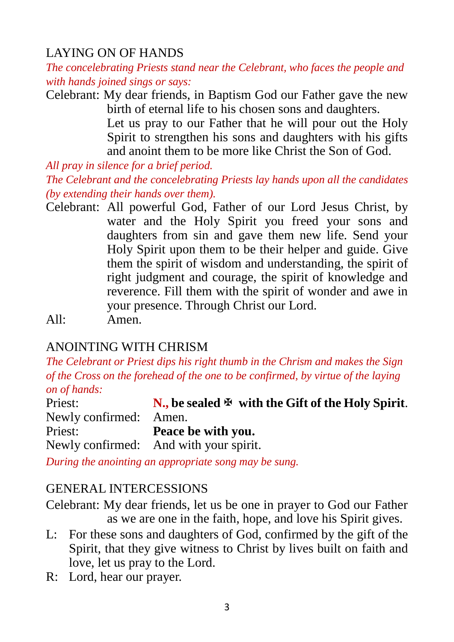## LAYING ON OF HANDS

*The concelebrating Priests stand near the Celebrant, who faces the people and with hands joined sings or says:*

Celebrant: My dear friends, in Baptism God our Father gave the new birth of eternal life to his chosen sons and daughters. Let us pray to our Father that he will pour out the Holy Spirit to strengthen his sons and daughters with his gifts and anoint them to be more like Christ the Son of God.

*All pray in silence for a brief period.*

*The Celebrant and the concelebrating Priests lay hands upon all the candidates (by extending their hands over them).*

Celebrant: All powerful God, Father of our Lord Jesus Christ, by water and the Holy Spirit you freed your sons and daughters from sin and gave them new life. Send your Holy Spirit upon them to be their helper and guide. Give them the spirit of wisdom and understanding, the spirit of right judgment and courage, the spirit of knowledge and reverence. Fill them with the spirit of wonder and awe in your presence. Through Christ our Lord.

All: Amen.

## ANOINTING WITH CHRISM

*The Celebrant or Priest dips his right thumb in the Chrism and makes the Sign of the Cross on the forehead of the one to be confirmed, by virtue of the laying on of hands:*

| Priest:                | N., be sealed $\mathfrak{B}$ with the Gift of the Holy Spirit. |
|------------------------|----------------------------------------------------------------|
| Newly confirmed: Amen. |                                                                |
| Priest:                | Peace be with you.                                             |
|                        | Newly confirmed: And with your spirit.                         |

*During the anointing an appropriate song may be sung.* 

### GENERAL INTERCESSIONS

Celebrant: My dear friends, let us be one in prayer to God our Father as we are one in the faith, hope, and love his Spirit gives.

- L: For these sons and daughters of God, confirmed by the gift of the Spirit, that they give witness to Christ by lives built on faith and love, let us pray to the Lord.
- R: Lord, hear our prayer.